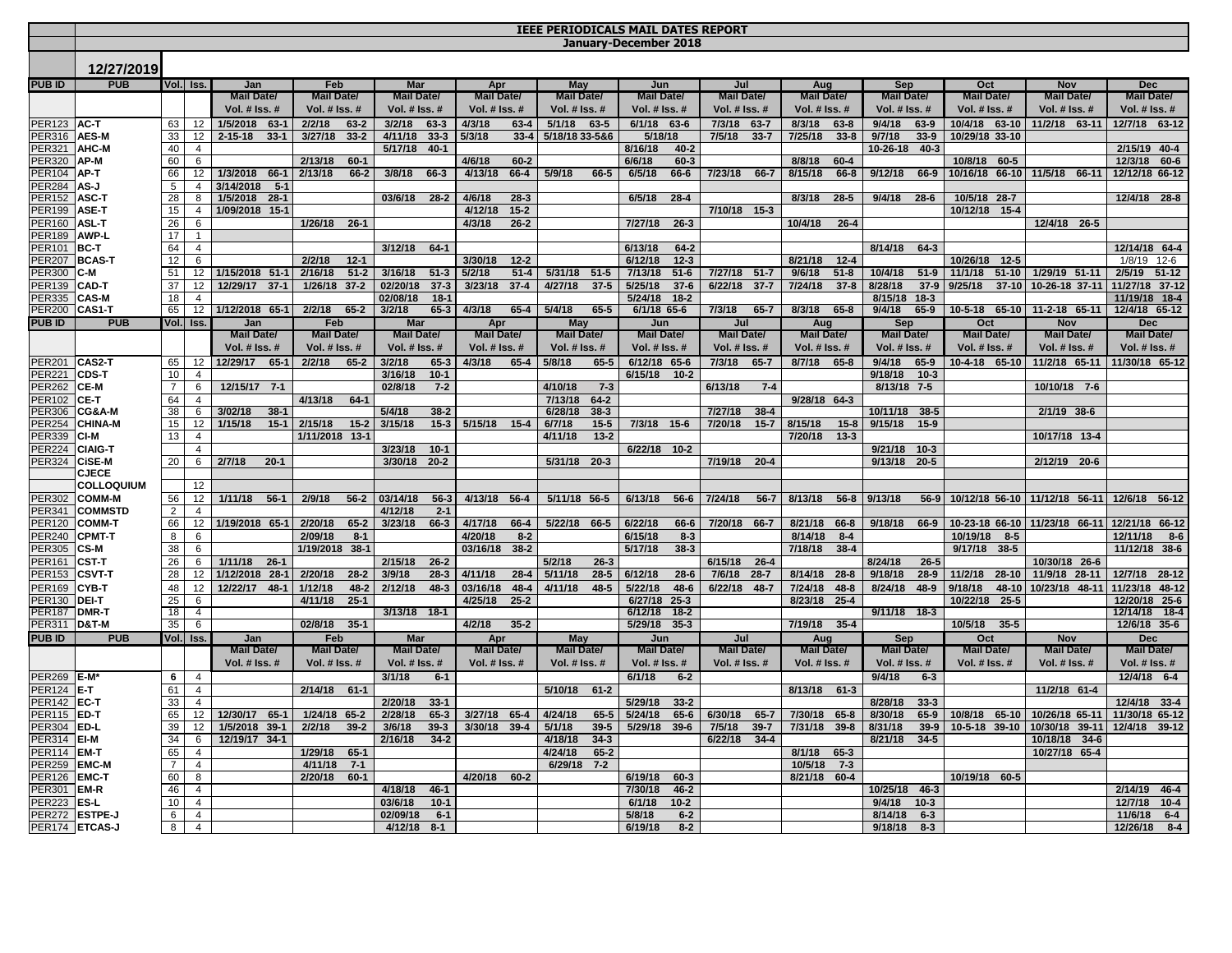|                                      | <b>IEEE PERIODICALS MAIL DATES REPORT</b> |                 |                                  |                          |                          |                                 |                                |                                 |                                |                          |                                |                                 |                            |                                 |                                 |
|--------------------------------------|-------------------------------------------|-----------------|----------------------------------|--------------------------|--------------------------|---------------------------------|--------------------------------|---------------------------------|--------------------------------|--------------------------|--------------------------------|---------------------------------|----------------------------|---------------------------------|---------------------------------|
|                                      | January-December 2018                     |                 |                                  |                          |                          |                                 |                                |                                 |                                |                          |                                |                                 |                            |                                 |                                 |
|                                      | 12/27/2019                                |                 |                                  |                          |                          |                                 |                                |                                 |                                |                          |                                |                                 |                            |                                 |                                 |
|                                      |                                           |                 |                                  |                          |                          |                                 |                                |                                 |                                |                          |                                |                                 |                            |                                 |                                 |
| <b>PUBID</b>                         | <b>PUB</b>                                |                 | Vol. Iss.                        | Jan<br><b>Mail Date/</b> | Feb<br><b>Mail Date/</b> | <b>Mar</b><br><b>Mail Date/</b> | Apr<br><b>Mail Date/</b>       | <b>May</b><br><b>Mail Date/</b> | Jun<br><b>Mail Date/</b>       | Jul<br><b>Mail Date/</b> | Aug<br><b>Mail Date/</b>       | <b>Sep</b><br><b>Mail Date/</b> | Oct<br><b>Mail Date/</b>   | <b>Nov</b><br><b>Mail Date/</b> | <b>Dec</b><br><b>Mail Date/</b> |
|                                      |                                           |                 |                                  | Vol. # Iss. #            | Vol. # Iss. #            | Vol. # Iss. #                   | Vol. # Iss. #                  | Vol. # Iss. #                   | Vol. # Iss. #                  | Vol. # Iss. #            | Vol. # Iss. #                  | Vol. # Iss. #                   | Vol. # Iss. #              | Vol. # Iss. #                   | Vol. # Iss. #                   |
| <b>PER123 AC-T</b>                   |                                           | 63              | 12                               | 1/5/2018 63-1            | 2/2/18<br>$63 - 2$       | 3/2/18<br>63-3                  | 4/3/18<br>$63 - 4$             | 5/1/18<br>63-5                  | $6/1/18$ 63-6                  | 7/3/18 63-7              | 8/3/18<br>$63 - 8$             | 9/4/18<br>$63-9$                | 10/4/18 63-10              | 11/2/18 63-11                   | 12/7/18 63-12                   |
| PER316 AES-M                         |                                           | 33              | 12                               | $2 - 15 - 18$<br>$33-1$  | 3/27/18<br>$33 - 2$      | 4/11/18<br>$33 - 3$             | 5/3/18<br>$33 - 4$             | 5/18/18 33-5&6                  | 5/18/18                        | 7/5/18<br>$33 - 7$       | 7/25/18<br>$33 - 8$            | 9/7/18<br>$33-9$                | 10/29/18 33-10             |                                 |                                 |
| PER321 AHC-M                         |                                           | 40              | $\overline{4}$                   |                          |                          | 5/17/18 40-1                    |                                |                                 | 8/16/18<br>$40 - 2$            |                          |                                | 10-26-18 40-3                   |                            |                                 | 2/15/19 40-4                    |
| PER320 AP-M                          |                                           | 60              | 6                                |                          | 2/13/18<br>$60-1$        |                                 | 4/6/18<br>$60 - 2$             |                                 | 6/6/18<br>$60 - 3$             |                          | 8/8/18<br>$60 - 4$             |                                 | 10/8/18 60-5               |                                 | 12/3/18 60-6                    |
| PER104 AP-T                          |                                           | 66              | 12                               | 1/3/2018<br>66-1         | 2/13/18<br>66-2          | 3/8/18<br>66-3                  | 4/13/18<br>$66 - 4$            | 5/9/18<br>66-5                  | 6/5/18<br>66-6                 | 7/23/18<br>66-7          | 8/15/18<br>$66 - 8$            | 9/12/18<br>66-9                 |                            | 10/16/18 66-10 11/5/18 66-11    | 12/12/18 66-12                  |
| <b>PER284 AS-J</b>                   |                                           | $5\overline{)}$ | $\overline{4}$                   | 3/14/2018<br>$5-1$       |                          |                                 |                                |                                 |                                |                          |                                |                                 |                            |                                 |                                 |
| PER152 ASC-T                         |                                           | 28              | 8                                | 1/5/2018 28-1            |                          | 03/6/18 28-2                    | 4/6/18<br>$28-3$               |                                 | 6/5/18<br>$28 - 4$             |                          | $28-5$<br>8/3/18               | $9/4/18$ 28-6                   | 10/5/18 28-7               |                                 | 12/4/18 28-8                    |
| PER199 ASE-T                         |                                           | 15              | 4                                | 1/09/2018 15-1           |                          |                                 | $15 - 2$<br>4/12/18            |                                 |                                | 7/10/18 15-3             |                                |                                 | 10/12/18 15-4              |                                 |                                 |
| PER160 ASL-T                         |                                           | 26              | 6                                |                          | 1/26/18 26-1             |                                 | 4/3/18<br>$26 - 2$             |                                 | 7/27/18<br>$26 - 3$            |                          | 10/4/18<br>$26 - 4$            |                                 |                            | 12/4/18 26-5                    |                                 |
| PER189 AWP-L                         |                                           | 17              | $\mathbf{1}$                     |                          |                          |                                 |                                |                                 |                                |                          |                                |                                 |                            |                                 |                                 |
| PER101 BC-T                          |                                           | 64              | $\overline{4}$                   |                          | 2/2/18<br>$12 - 1$       | $3/12/18$ 64-1                  | 3/30/18                        |                                 | 6/13/18<br>$64 - 2$<br>6/12/18 |                          | 8/21/18                        | 8/14/18 64-3                    | 10/26/18 12-5              |                                 | 12/14/18 64-4<br>$1/8/19$ 12-6  |
| PER207 BCAS-T<br><b>PER300</b>       | IC-M                                      | 12              | 6<br>12 <sup>7</sup>             | 1/15/2018 51-1           | $51-2$<br>2/16/18        | 3/16/18<br>$51-3$               | $12 - 2$<br>5/2/18<br>$51 - 4$ | 5/31/18 51-5                    | $12 - 3$<br>7/13/18<br>$51-6$  | 7/27/18 51-7             | $12 - 4$<br>9/6/18<br>$51 - 8$ | 10/4/18<br>$51-9$               | 11/1/18 51-10              | 1/29/19 51-11                   | 2/5/19 51-12                    |
| PER139 CAD-T                         |                                           | 51<br>37        | 12                               | 12/29/17 37-1            | 1/26/18 37-2             | 02/20/18<br>$37 - 3$            | 3/23/18<br>$37-4$              | 4/27/18<br>$37-5$               | 5/25/18<br>$37-6$              | 6/22/18<br>$37 - 7$      | 7/24/18<br>$37 - 8$            | 8/28/18<br>$37-9$               | 9/25/18<br>$37 - 10$       | 10-26-18 37-11                  | 11/27/18 37-12                  |
| PER335 CAS-M                         |                                           | 18              | $\overline{4}$                   |                          |                          | 02/08/18<br>$18 - 1$            |                                |                                 | 5/24/18<br>$18 - 2$            |                          |                                | 8/15/18 18-3                    |                            |                                 | 11/19/18 18-4                   |
| <b>PER200 CAS1-T</b>                 |                                           | 65              |                                  | 12 1/12/2018 65-1        | $2/2/18$ 65-2            | 3/2/18<br>$65-3$                | 4/3/18<br>$65-4$               | 5/4/18<br>$65-5$                | $6/1/18$ 65-6                  | 7/3/18 65-7              | 8/3/18 65-8                    | $9/4/18$ 65-9                   |                            | 10-5-18 65-10 11-2-18 65-11     | 12/4/18 65-12                   |
| <b>PUBID</b>                         | <b>PUB</b>                                |                 | Vol. Iss.                        | Jan                      | Feb                      | <b>Mar</b>                      | Apr                            | <b>May</b>                      | Jun                            | Jul                      | Aug                            | Sep                             | Oct                        | <b>Nov</b>                      | <b>Dec</b>                      |
|                                      |                                           |                 |                                  | <b>Mail Date/</b>        | <b>Mail Date/</b>        | <b>Mail Date/</b>               | <b>Mail Date/</b>              | <b>Mail Date/</b>               | <b>Mail Date/</b>              | <b>Mail Date/</b>        | <b>Mail Date/</b>              | <b>Mail Date/</b>               | <b>Mail Date/</b>          | <b>Mail Date/</b>               | <b>Mail Date/</b>               |
|                                      |                                           |                 |                                  | Vol. # Iss. #            | Vol. # Iss. #            | Vol. # Iss. #                   | Vol. # Iss. #                  | Vol. # Iss. #                   | Vol. # Iss. #                  | Vol. # Iss. #            | Vol. # Iss. #                  | Vol. # Iss. #                   | Vol. # Iss. #              | Vol. # Iss. #                   | Vol. # Iss. #                   |
| <b>PER201 CAS2-T</b>                 |                                           | 65              | 12                               | 12/29/17 65-1            | 2/2/18<br>$65 - 2$       | 3/2/18<br>$65-3$                | 4/3/18<br>$65 - 4$             | 5/8/18<br>$65 - 5$              | 6/12/18 65-6                   | 7/3/18<br>$65 - 7$       | 8/7/18<br>$65 - 8$             | $9/4/18$ 65-9                   | 10-4-18 65-10              | 11/2/18 65-11                   | 11/30/18 65-12                  |
| <b>PER221</b>                        | <b>CDS-T</b>                              | 10              | $\overline{4}$                   |                          |                          | 3/16/18<br>$10-1$               |                                |                                 | 6/15/18 10-2                   |                          |                                | $9/18/18$ 10-3                  |                            |                                 |                                 |
| <b>PER262</b>                        | CE-M                                      | $\overline{7}$  | 6                                | 12/15/17 7-1             |                          | 02/8/18<br>$7-2$                |                                | 4/10/18<br>$7 - 3$              |                                | 6/13/18<br>$7-4$         |                                | 8/13/18 7-5                     |                            | 10/10/18 7-6                    |                                 |
| PER102 CE-T                          |                                           | 64              | $\overline{4}$                   |                          | 4/13/18<br>$64-1$        |                                 |                                | 7/13/18<br>$64 - 2$             |                                |                          | 9/28/18 64-3                   |                                 |                            |                                 |                                 |
|                                      | PER306 CG&A-M                             | 38              | 6                                | 3/02/18<br>$38-1$        |                          | 5/4/18<br>$38 - 2$              |                                | 6/28/18<br>$38-3$               |                                | 7/27/18<br>$38 - 4$      |                                | 10/11/18 38-5                   |                            | 2/1/19 38-6                     |                                 |
|                                      | PER254 CHINA-M                            | 15              | 12 <sup>2</sup>                  | 1/15/18<br>$15 - 1$      | 2/15/18<br>$15 - 2$      | 3/15/18<br>$15-3$               | 5/15/18 15-4                   | 6/7/18<br>$15 - 5$              | 7/3/18 15-6                    | 7/20/18<br>$15 - 7$      | 8/15/18<br>$15 - 8$            | 9/15/18<br>$15-9$               |                            |                                 |                                 |
| <b>PER339 CI-M</b><br>PER224 CIAIG-T |                                           | 13              | $\overline{4}$<br>$\overline{4}$ |                          | 1/11/2018 13-1           | $10-1$<br>3/23/18               |                                | 4/11/18<br>$13 - 2$             | 6/22/18 10-2                   |                          | 7/20/18<br>$13-3$              | 9/21/18 10-3                    |                            | 10/17/18 13-4                   |                                 |
| PER324 CiSE-M                        |                                           | 20              | 6                                | 2/7/18<br>$20-1$         |                          | 3/30/18<br>$20 - 2$             |                                | 5/31/18 20-3                    |                                | 7/19/18 20-4             |                                | 9/13/18 20-5                    |                            | 2/12/19 20-6                    |                                 |
|                                      | <b>CJECE</b>                              |                 |                                  |                          |                          |                                 |                                |                                 |                                |                          |                                |                                 |                            |                                 |                                 |
|                                      | <b>COLLOQUIUM</b>                         |                 | 12                               |                          |                          |                                 |                                |                                 |                                |                          |                                |                                 |                            |                                 |                                 |
| <b>PER302</b>                        | <b>COMM-M</b>                             | 56              | 12                               | 1/11/18<br>$56-1$        | 2/9/18<br>$56 - 2$       | 03/14/18<br>$56 - 3$            | 4/13/18 56-4                   | 5/11/18 56-5                    | 6/13/18<br>$56 - 6$            | 7/24/18<br>$56 - 7$      | 8/13/18<br>$56 - 8$            | 9/13/18<br>$56-9$               |                            | 10/12/18 56-10 11/12/18 56-11   | 12/6/18 56-12                   |
|                                      | PER341 COMMSTD                            | $\overline{2}$  | $\overline{4}$                   |                          |                          | 4/12/18<br>$2 - 1$              |                                |                                 |                                |                          |                                |                                 |                            |                                 |                                 |
| PER120                               | <b>COMM-T</b>                             | 66              | 12 <sup>12</sup>                 | 1/19/2018 65-1           | 2/20/18<br>$65 - 2$      | 3/23/18<br>66-3                 | 4/17/18<br>66-4                | 5/22/18 66-5                    | 6/22/18<br>66-6                | 7/20/18<br>66-7          | 66-8<br>8/21/18                | 9/18/18 66-9                    |                            | 10-23-18 66-10 11/23/18 66-11   | 12/21/18 66-12                  |
| <b>PER240</b>                        | <b>CPMT-T</b>                             | 8               | 6                                |                          | 2/09/18<br>$8 - 1$       |                                 | 4/20/18<br>$8 - 2$             |                                 | 6/15/18<br>$8 - 3$             |                          | 8/14/18<br>$8 - 4$             |                                 | 10/19/18<br>$8 - 5$        |                                 | 12/11/18<br>$8 - 6$             |
| <b>PER305 CS-M</b>                   |                                           | 38              | 6                                |                          | 1/19/2018 38-1           |                                 | 03/16/18 38-2                  |                                 | 5/17/18<br>$38 - 3$            |                          | $38-4$<br>7/18/18              |                                 | $9/17/18$ 38-5             |                                 | 11/12/18 38-6                   |
| PER161                               | <b>CST-T</b>                              | 26              | 6                                | 1/11/18<br>$26-1$        |                          | 2/15/18<br>$26 - 2$             |                                | 5/2/18<br>$26 - 3$              |                                | 6/15/18<br>$26 - 4$      |                                | 8/24/18<br>$26 - 5$             |                            | 10/30/18 26-6                   |                                 |
| PER153                               | <b>CSVT-T</b>                             | 28              | 12                               | 1/12/2018 28-1           | 2/20/18<br>$28-2$        | 3/9/18<br>$28-3$                | 4/11/18<br>$28 - 4$            | 5/11/18<br>$28 - 5$             | 6/12/18<br>$28 - 6$            | 7/6/18<br>$28 - 7$       | 8/14/18 28-8                   | 9/18/18<br>$28-9$               | 11/2/18<br>$28-10$         | 11/9/18 28-11                   | 12/7/18 28-12                   |
| <b>PER169</b>                        | <b>CYB-T</b>                              | 48              | 12                               | 12/22/17 48-1            | 1/12/18<br>$48 - 2$      | 2/12/18<br>$48 - 3$             | 03/16/18<br>48-4               | 4/11/18<br>$48 - 5$             | 48-6<br>5/22/18                | 6/22/18<br>48-7          | 7/24/18<br>48-8                | 8/24/18 48-9                    | 9/18/18                    | 48-10 10/23/18 48-11            | 11/23/18 48-12                  |
| <b>PER130 DEI-T</b>                  |                                           | 25              | 6                                |                          | 4/11/18<br>$25 - 1$      |                                 | 4/25/18<br>$25 - 2$            |                                 | 6/27/18<br>$25 - 3$            |                          | 8/23/18<br>$25 - 4$            |                                 | 10/22/18<br>$25 - 5$       |                                 | 12/20/18 25-6                   |
| PER187 DMR-T                         |                                           | 18              | 4                                |                          | 02/8/18<br>$35-1$        | $3/13/18$ 18-1                  | 4/2/18                         |                                 | 6/12/18 18-2                   |                          |                                | $9/11/18$ 18-3                  |                            |                                 | 12/14/18 18-4<br>12/6/18 35-6   |
| <b>PER311</b><br><b>PUB ID</b>       | <b>D&amp;T-M</b><br><b>PUB</b>            | 35              | 6<br>Vol. Iss.                   | Jan                      | Feb                      | <b>Mar</b>                      | $35 - 2$<br>Apr                | May                             | 5/29/18 35-3<br>Jun            | Jul                      | 7/19/18 35-4<br>Aug            | Sep                             | 10/5/18<br>$35 - 5$<br>Oct | Nov                             | <b>Dec</b>                      |
|                                      |                                           |                 |                                  | <b>Mail Date/</b>        | Mail Date/               | <b>Mail Date/</b>               | <b>Mail Date/</b>              | <b>Mail Date/</b>               | <b>Mail Date/</b>              | <b>Mail Date/</b>        | <b>Mail Date/</b>              | <b>Mail Date/</b>               | Mail Date/                 | Mail Date/                      | <b>Mail Date/</b>               |
|                                      |                                           |                 |                                  | <b>Vol. # Iss. #</b>     | <b>Vol. # Iss. #</b>     | Vol. # Iss. #                   | Vol. # Iss. #                  | Vol. # Iss. #                   | <b>Vol. # Iss. #</b>           | Vol. # Iss. #            | <b>Vol. # Iss. #</b>           | Vol. $#$ Iss. $#$               | Vol. # Iss. #              | Vol. $#$ Iss. $#$               | Vol. # Iss. #                   |
| <b>PER269 E-M</b>                    |                                           | 6               | $\overline{4}$                   |                          |                          | 3/1/18<br>$6-1$                 |                                |                                 | 6/1/18<br>$6-2$                |                          |                                | 9/4/18<br>$6-3$                 |                            |                                 | 12/4/18 6-4                     |
| <b>PER124 E-T</b>                    |                                           | 61              | $\overline{4}$                   |                          | 2/14/18<br>$61 - 1$      |                                 |                                | 5/10/18 61-2                    |                                |                          | 8/13/18 61-3                   |                                 |                            | 11/2/18 61-4                    |                                 |
| PER142 EC-T                          |                                           | 33              | 4                                |                          |                          | 2/20/18<br>$33-1$               |                                |                                 | 5/29/18<br>$33 - 2$            |                          |                                | 8/28/18<br>$33 - 3$             |                            |                                 | 12/4/18 33-4                    |
| <b>PER115 ED-T</b>                   |                                           | 65              | 12                               | 12/30/17 65-1            | $1/24/18$ 65-2           | 2/28/18<br>$65-3$               | 3/27/18 65-4                   | 4/24/18<br>$65 - 5$             | 5/24/18<br>$65 - 6$            | 6/30/18<br>$65 - 7$      | 7/30/18 65-8                   | 8/30/18<br>$65-9$               | 10/8/18 65-10              | 10/26/18 65-11                  | 11/30/18 65-12                  |
| PER304 ED-L                          |                                           | 39              | 12 <sup>2</sup>                  | 1/5/2018 39-1            | 2/2/18<br>$39 - 2$       | 3/6/18<br>$39 - 3$              | 3/30/18 39-4                   | 5/1/18<br>$39 - 5$              | 5/29/18<br>$39-6$              | 7/5/18<br>$39 - 7$       | 7/31/18<br>$39 - 8$            | 8/31/18<br>$39-9$               | 10-5-18 39-10              | 10/30/18 39-11                  | 12/4/18 39-12                   |
| PER314 EI-M                          |                                           | 34              | 6                                | 12/19/17 34-1            |                          | 2/16/18<br>$34 - 2$             |                                | $34-3$<br>4/18/18               |                                | $34 - 4$<br>6/22/18      |                                | 8/21/18<br>$34 - 5$             |                            | 10/18/18 34-6                   |                                 |
| <b>PER114 EM-T</b>                   |                                           | 65              | $\overline{4}$                   |                          | 1/29/18<br>$65 - 1$      |                                 |                                | 4/24/18<br>$65 - 2$             |                                |                          | 8/1/18<br>$65 - 3$             |                                 |                            | 10/27/18 65-4                   |                                 |
| PER259 EMC-M                         |                                           | $\overline{7}$  | $\overline{4}$                   |                          | 4/11/18<br>$7 - 1$       |                                 |                                | 6/29/18 7-2                     |                                |                          | 10/5/18<br>$7 - 3$             |                                 |                            |                                 |                                 |
| PER126 EMC-T                         |                                           | 60              | 8                                |                          | 2/20/18<br>$60 - 1$      |                                 | 4/20/18 60-2                   |                                 | 6/19/18<br>$60 - 3$            |                          | 8/21/18 60-4                   |                                 | 10/19/18 60-5              |                                 |                                 |
| PER301                               | EM-R                                      | 46              | $\overline{4}$                   |                          |                          | 4/18/18<br>$46 - 1$             |                                |                                 | 7/30/18<br>$46 - 2$            |                          |                                | 10/25/18 46-3                   |                            |                                 | 2/14/19 46-4                    |
| <b>PER223</b>                        | ES-L                                      | 10              | $\overline{4}$                   |                          |                          | 03/6/18<br>$10 - 1$             |                                |                                 | 6/1/18<br>$10-2$               |                          |                                | 9/4/18<br>$10-3$                |                            |                                 | 12/7/18 10-4                    |
|                                      | PER272 ESTPE-J                            | 6               | $\overline{4}$                   |                          |                          | 02/09/18<br>$6 - 1$             |                                |                                 | 5/8/18<br>$6-2$                |                          |                                | 8/14/18<br>$6-3$                |                            |                                 | 11/6/18 6-4                     |
|                                      | PER174 ETCAS-J                            | 8               | $\overline{4}$                   |                          |                          | 4/12/18<br>$8 - 1$              |                                |                                 | 6/19/18<br>$8-2$               |                          |                                | 9/18/18<br>$8-3$                |                            |                                 | 12/26/18<br>$8 - 4$             |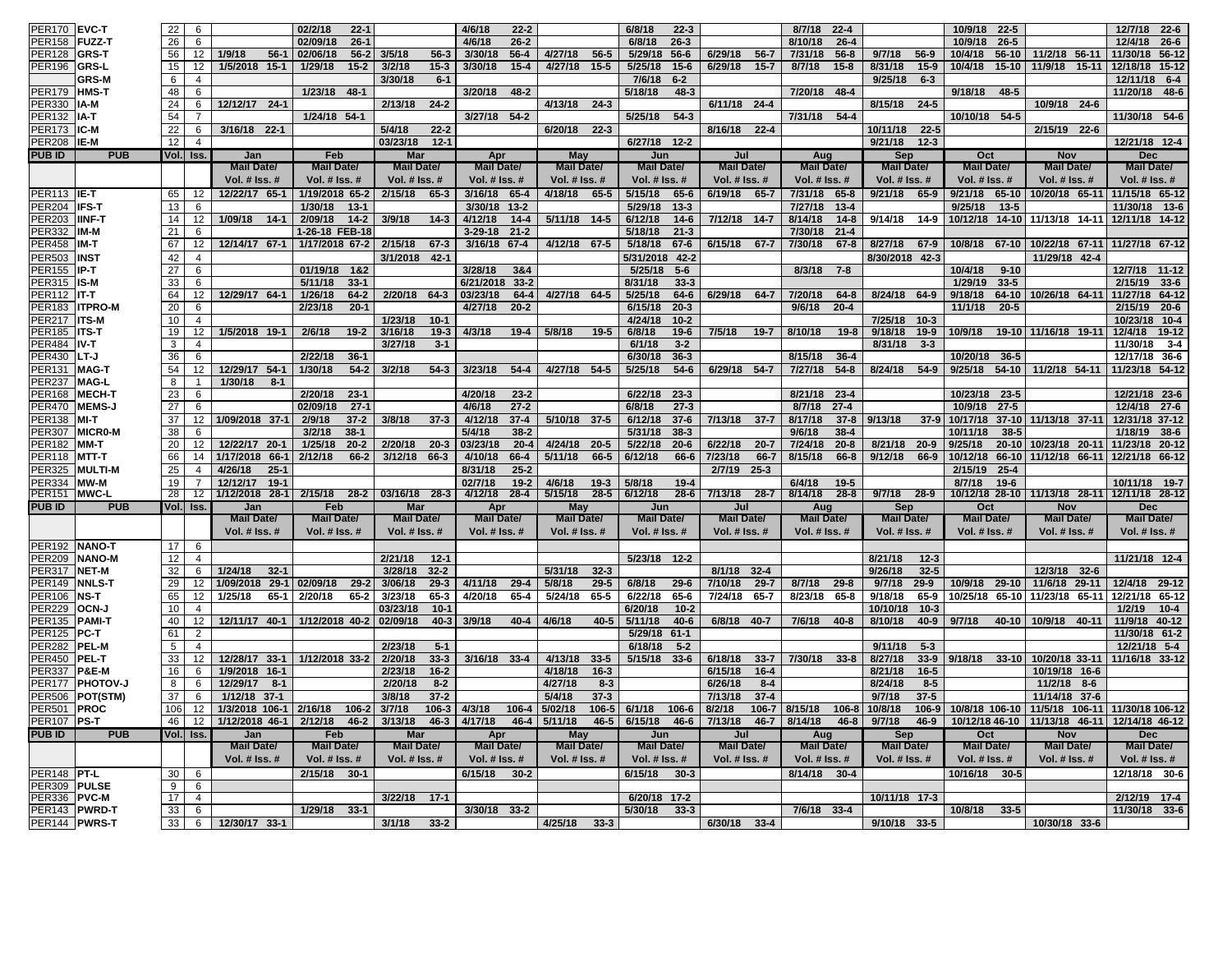| <b>PER170</b>      | <b>EVC-T</b>            | 22       | 6              |                      | 02/2/18<br>$22 - 1$             |                      | 4/6/18<br>$22 - 2$        |                      | 6/8/18<br>$22 - 3$    |                          | 8/7/18<br>$22 - 4$     |                          | 10/9/18<br>$22-5$    |                                                  | $22 - 6$<br>12/7/18  |
|--------------------|-------------------------|----------|----------------|----------------------|---------------------------------|----------------------|---------------------------|----------------------|-----------------------|--------------------------|------------------------|--------------------------|----------------------|--------------------------------------------------|----------------------|
| <b>PER158</b>      | FUZZ-T                  | 26       | 6              |                      | 02/09/18<br>$26 - 1$            |                      | 4/6/18<br>$26 - 2$        |                      | 6/8/18<br>$26 - 3$    |                          | 8/10/18<br>$26 - 4$    |                          | 10/9/18<br>$26-5$    |                                                  | 12/4/18<br>$26 - 6$  |
| <b>PER128</b>      | GRS-T                   | 56       | 12             | $56-1$<br>1/9/18     | 02/06/18<br>$56 - 2$            | 3/5/18<br>$56 - 3$   | 3/30/18<br>$56 - 4$       | 4/27/18 56-5         | 5/29/18<br>$56-6$     | 6/29/18<br>$56 - 7$      | $56 - 8$<br>7/31/18    | 9/7/18<br>$56-9$         | 10/4/18<br>$56 - 10$ | 11/2/18 56-11                                    | 11/30/18 56-12       |
| <b>PER196</b>      | <b>GRS-L</b>            | 15       | 12             | 1/5/2018 15-1        | 1/29/18<br>$15-2$               | 3/2/18<br>$15-3$     | 3/30/18<br>$15 - 4$       | 4/27/18 15-5         | 5/25/18<br>$15 - 6$   | 6/29/18<br>$15 - 7$      | 8/7/18<br>$15 - 8$     | 8/31/18<br>$15-9$        | 10/4/18<br>$15-10$   | 11/9/18 15-11                                    | 12/18/18 15-12       |
|                    | <b>GRS-M</b>            | 6        | 4              |                      |                                 | 3/30/18<br>$6-1$     |                           |                      | 7/6/18<br>$6 - 2$     |                          |                        | 9/25/18<br>$6 - 3$       |                      |                                                  | 12/11/18 6-4         |
| ER <sub>179</sub>  | <b>HMS-T</b>            | 48       | 6              |                      | 1/23/18<br>48-1                 |                      | 3/20/18<br>$48 - 2$       |                      | 5/18/18<br>$48 - 3$   |                          | 7/20/18 48-4           |                          | 9/18/18<br>$48 - 5$  |                                                  | 11/20/18 48-6        |
| PER330             | IA-M                    | 24       | 6              | 12/12/17 24-1        |                                 | 2/13/18<br>$24 - 2$  |                           | 4/13/18 24-3         |                       | 6/11/18 24-4             |                        | 8/15/18 24-5             |                      | 10/9/18 24-6                                     |                      |
| <b>ER132</b>       | IA-T                    | 54       |                |                      | 1/24/18 54-1                    |                      | 3/27/18 54-2              |                      | $54-3$<br>5/25/18     |                          | $54-4$<br>7/31/18      |                          | 10/10/18 54-5        |                                                  | 11/30/18 54-6        |
| PER173 <b>IC-M</b> |                         | 22       | 6              | 3/16/18 22-1         |                                 | 5/4/18<br>$22 - 2$   |                           | 6/20/18 22-3         |                       | 8/16/18<br>$22 - 4$      |                        | $22 - 5$<br>10/11/18     |                      | 2/15/19 22-6                                     |                      |
| <b>PER208</b>      | IIE-M                   | 12       | $\overline{4}$ |                      |                                 | 03/23/18<br>$12 - 1$ |                           |                      | $6/27/18$ 12-2        |                          |                        | 9/21/18<br>$12 - 3$      |                      |                                                  | 12/21/18 12-4        |
|                    |                         |          |                |                      |                                 |                      |                           |                      |                       |                          |                        |                          |                      |                                                  |                      |
| <b>PUB ID</b>      | <b>PUB</b>              |          | Vol. Iss.      | Jan                  | Feb                             | <b>Mar</b>           | Apr                       | May                  | Jun                   | Jul                      | Aug                    | Sep                      | Oct                  | Nov                                              | <b>Dec</b>           |
|                    |                         |          |                | <b>Mail Date/</b>    | <b>Mail Date/</b>               | <b>Mail Date/</b>    | <b>Mail Date/</b>         | <b>Mail Date/</b>    | <b>Mail Date/</b>     | <b>Mail Date/</b>        | <b>Mail Date/</b>      | <b>Mail Date/</b>        | <b>Mail Date/</b>    | <b>Mail Date/</b>                                | Mail Date/           |
|                    |                         |          |                | <b>Vol. # Iss. #</b> | Vol. $#$ Iss. $#$               | <b>Vol. # Iss. #</b> | Vol. # Iss. #             | <b>Vol. # Iss. #</b> | <b>Vol. # Iss. #</b>  | <b>Vol. # Iss. #</b>     | Vol. # Iss. #          | <b>Vol. # Iss. #</b>     | <b>Vol. # Iss. #</b> | <b>Vol. # Iss. #</b>                             | <b>Vol. # Iss. #</b> |
| PER113 $E-T$       |                         | 65       | 12             | 12/22/17 65-1        | 1/19/2018 65-2                  | 2/15/18 65-3         | 3/16/18<br>65-4           | 4/18/18 65-5         | 5/15/18<br>$65 - 6$   | 6/19/18<br>65-7          | 7/31/18<br>65-8        | $9/21/18$ 65-9           | 9/21/18<br>65-10     | 10/20/18 65-11 11/15/18 65-12                    |                      |
| <b>PER204</b>      | IFS-T                   | 13       | 6              |                      | 1/30/18<br>$13 - 1$             |                      | 3/30/18<br>$13 - 2$       |                      | 5/29/18<br>$13-3$     |                          | 7/27/18<br>$13 - 4$    |                          | 9/25/18<br>$13 - 5$  |                                                  | 11/30/18 13-6        |
| <b>ER203</b>       | <b>IINF-T</b>           | 14       | 12             | 1/09/18 14-1         | 2/09/18<br>$14-2$               | 3/9/18<br>$14-3$     | 4/12/18<br>$14 - 4$       | 5/11/18 14-5         | 6/12/18<br>$14 - 6$   | 7/12/18 14-7             | 8/14/18<br>$14 - 8$    | 9/14/18<br>14-9          |                      | 10/12/18 14-10 11/13/18 14-11                    | 12/11/18 14-12       |
| <b>ER332</b>       | IM-M                    | 21       | 6              |                      | 1-26-18 FEB-18                  |                      | $21 - 2$<br>$3 - 29 - 18$ |                      | 5/18/18<br>$21 - 3$   |                          | 7/30/18<br>$21 - 4$    |                          |                      |                                                  |                      |
| <b>ER458</b>       | IM-T                    | 67       | 12             | 12/14/17 67-1        | 1/17/2018 67-2                  | 2/15/18<br>$67 - 3$  | 3/16/18 67-4              | 4/12/18 67-5         | 5/18/18<br>$67 - 6$   | 6/15/18<br>$67 - 7$      | 7/30/18<br>$67 - 8$    | 8/27/18<br>$67-9$        | 10/8/18<br>$67 - 10$ | 10/22/18 67-11                                   | 11/27/18 67-12       |
| <b>ER503</b>       | <b>INST</b>             | 42       | $\overline{4}$ |                      |                                 | $42 - 1$<br>3/1/2018 |                           |                      | 5/31/2018<br>$42 - 2$ |                          |                        | 8/30/2018 42-3           |                      | 11/29/18 42-4                                    |                      |
| <b>ER155</b>       | IP-T                    | 27       | 6              |                      | 01/19/18<br>1&2                 |                      | 3/28/18<br>3&4            |                      | 5/25/18<br>$5-6$      |                          | 8/3/18<br>$7 - 8$      |                          | 10/4/18<br>$9 - 10$  |                                                  | 12/7/18<br>$11 - 12$ |
|                    |                         |          |                |                      | 5/11/18                         |                      | 6/21/2018<br>$33 - 2$     |                      | 8/31/18               |                          |                        |                          | 1/29/19<br>$33 - 5$  |                                                  | 2/15/19              |
| <b>PER315 IS-M</b> |                         | 33       | 6              |                      | $33 - 1$                        |                      |                           |                      | $33 - 3$              |                          |                        |                          |                      |                                                  | $33 - 6$             |
| <b>PER112</b>      | IT-T                    | 64       | 12             | 12/29/17 64-1        | 1/26/18<br>$64 - 2$             | 2/20/18 64-3         | 03/23/18<br>64-4          | 4/27/18 64-5         | 5/25/18<br>$64 - 6$   | 6/29/18<br>$64 - 7$      | 7/20/18<br>$64 - 8$    | 8/24/18 64-9             | 9/18/18<br>64-10     | 10/26/18 64-11                                   | 11/27/18 64-12       |
| <b>ER183</b>       | <b>ITPRO-M</b>          | 20       | 6              |                      | 2/23/18<br>$20 - 1$             |                      | 4/27/18<br>$20 - 2$       |                      | 6/15/18<br>$20 - 3$   |                          | 9/6/18<br>$20 - 4$     |                          | 11/1/18<br>$20 - 5$  |                                                  | 2/15/19 20-6         |
| PER217 ITS-M       |                         | 10       | $\overline{4}$ |                      |                                 | 1/23/18<br>$10-1$    |                           |                      | 4/24/18<br>$10-2$     |                          |                        | 7/25/18 10-3             |                      |                                                  | 10/23/18 10-4        |
| <b>PER185</b>      | <b>ITS-T</b>            | 19       | 12             | 1/5/2018 19-1        | 2/6/18<br>$19 - 2$              | 3/16/18<br>$19-3$    | 4/3/18<br>$19-4$          | 5/8/18<br>$19-5$     | 6/8/18<br>$19-6$      | $19-7$<br>7/5/18         | 8/10/18<br>$19-8$      | 9/18/18 19-9             | 10/9/18              | 19-10 11/16/18 19-11                             | 12/4/18<br>$19-12$   |
| <b>PER484</b>      | IV-T                    | 3        | $\overline{4}$ |                      |                                 | 3/27/18<br>$3 - 1$   |                           |                      | 6/1/18<br>$3-2$       |                          |                        | 8/31/18<br>$3 - 3$       |                      |                                                  | 11/30/18<br>$3 - 4$  |
| <b>PER430</b>      | LT-J                    | 36       | 6              |                      | 2/22/18<br>$36-1$               |                      |                           |                      | 6/30/18<br>$36 - 3$   |                          | 8/15/18<br>$36 - 4$    |                          | 10/20/18<br>$36 - 5$ |                                                  | 12/17/18 36-6        |
| PER131             | <b>MAG-T</b>            | 54       | 12             | 12/29/17 54-1        | 1/30/18<br>$54 - 2$             | 3/2/18<br>$54-3$     | 3/23/18<br>$54-4$         | 4/27/18 54-5         | 5/25/18<br>$54-6$     | 6/29/18 54-7             | $54-8$<br>7/27/18      | 54-9<br>8/24/18          | 9/25/18              | 54-10 11/2/18 54-11                              | 11/23/18 54-12       |
| PER237             | <b>MAG-L</b>            | 8        |                | 1/30/18<br>$8-1$     |                                 |                      |                           |                      |                       |                          |                        |                          |                      |                                                  |                      |
| <b>ER168</b>       | MECH-T                  | 23       | 6              |                      | 2/20/18<br>$23 - 1$             |                      | 4/20/18<br>$23 - 2$       |                      | 6/22/18<br>$23 - 3$   |                          | 8/21/18<br>$23 - 4$    |                          | 10/23/18 23-5        |                                                  | 12/21/18 23-6        |
| <b>PER470</b>      | <b>MEMS-J</b>           | 27       | 6              |                      | 02/09/18<br>$27 - 1$            |                      | 4/6/18<br>$27 - 2$        |                      | 6/8/18<br>$27-3$      |                          | $27-4$<br>8/7/18       |                          | 10/9/18<br>$27 - 5$  |                                                  | 12/4/18 27-6         |
| <b>PER138</b>      | MI-T                    | 37       | 12             | 1/09/2018 37-1       | 2/9/18<br>$37 - 2$              | 3/8/18<br>$37 - 3$   | 4/12/18<br>$37 - 4$       | 5/10/18 37-5         | 6/12/18<br>$37 - 6$   | $37 - 7$<br>7/13/18      | 8/17/18                | $37-8$ 9/13/18<br>$37-9$ | 10/17/18             | 37-10 11/13/18 37-11                             | 12/31/18 37-12       |
| <b>PER307</b>      | <b>MICRO-M</b>          | 38       | 6              |                      | 3/2/18<br>$38 - 1$              |                      | 5/4/18<br>$38 - 2$        |                      | $38-3$<br>5/31/18     |                          | $38 - 4$<br>9/6/18     |                          | 10/11/18<br>$38 - 5$ |                                                  | 1/18/19 38-6         |
| PER182             | MM-T                    | 20       | 12             | 12/22/17 20-1        | 1/25/18<br>$20 - 2$             | 2/20/18<br>$20 - 3$  | 03/23/18<br>$20 - 4$      | 4/24/18 20-5         | 5/22/18<br>$20 - 6$   | 6/22/18<br>$20 - 7$      | 7/24/18<br>$20 - 8$    | 8/21/18 20-9             | 9/25/18              | 20-10 10/23/18 20-11                             | 11/23/18 20-12       |
|                    |                         |          |                |                      |                                 |                      |                           |                      |                       |                          |                        |                          |                      |                                                  |                      |
| PER118             | MTT-T                   | 66       | 14             | 1/17/2018 66-1       | 2/12/18<br>66-2                 | 3/12/18<br>66-3      | 4/10/18<br>66-4           | 5/11/18<br>66-5      | 6/12/18<br>66-6       | 7/23/18<br>66-7          | 8/15/18<br>66-8        | 9/12/18<br>66-9          | 10/12/18             | 66-10 11/12/18 66-11                             | 12/21/18 66-12       |
| <b>ER325</b>       | <b>MULTI-M</b>          | 25       | $\overline{4}$ | 4/26/18<br>$25 - 1$  |                                 |                      | 8/31/18<br>$25 - 2$       |                      |                       | 2/7/19<br>$25 - 3$       |                        |                          | 2/15/19<br>$25 - 4$  |                                                  |                      |
| PER334             | <b>IMW-M</b>            | 19       | $\overline{7}$ | 12/12/17<br>$19-1$   |                                 |                      | 02/7/18<br>$19 - 2$       | 4/6/18<br>$19-3$     | 5/8/18<br>$19-4$      |                          | 6/4/18<br>$19 - 5$     |                          | 8/7/18<br>$19-6$     |                                                  | 10/11/18 19-7        |
| PER151 MWC-L       |                         | 28       | 12             | 1/12/2018            | 28-1 2/15/18 28-2 03/16/18 28-3 |                      | 4/12/18                   | $28-4$ 5/15/18       | 28-5 6/12/18          | 28-6 7/13/18<br>$28 - 7$ | 8/14/18                | 28-8 9/7/18 28-9         |                      | 10/12/18 28-10   11/13/18 28-11   12/11/18 28-12 |                      |
| PUB ID             | <b>PUB</b>              |          | Vol. Iss.      | Jan                  | Feb                             | <b>Mar</b>           | Apr                       | May                  | Jun                   | Jul                      | Aug                    | Sep                      | Oct                  | <b>Nov</b>                                       | <b>Dec</b>           |
|                    |                         |          |                | <b>Mail Date/</b>    | <b>Mail Date/</b>               | <b>Mail Date/</b>    | <b>Mail Date/</b>         | <b>Mail Date/</b>    | <b>Mail Date/</b>     | <b>Mail Date/</b>        | <b>Mail Date</b>       | <b>Mail Date/</b>        | <b>Mail Date/</b>    | <b>Mail Date/</b>                                | Mail Date/           |
|                    |                         |          |                | Vol. # Iss. #        | Vol. # Iss. #                   | Vol. # Iss. #        | Vol. # Iss. #             | Vol. # Iss. #        | Vol. # Iss. #         | Vol. # Iss. #            | Vol. # Iss. #          | Vol. # Iss. #            | Vol. # Iss. #        | Vol. # Iss. #                                    | Vol. # Iss. #        |
| <b>PER192</b>      | <b>NANO-T</b>           | 17       | 6              |                      |                                 |                      |                           |                      |                       |                          |                        |                          |                      |                                                  |                      |
| <b>ER209</b>       | <b>NANO-M</b>           | 12       | $\overline{4}$ |                      |                                 | 2/21/18<br>$12 - 1$  |                           |                      | 5/23/18 12-2          |                          |                        | 8/21/18<br>$12 - 3$      |                      |                                                  | 11/21/18 12-4        |
| <b>ER317</b>       | <b>NET-M</b>            | 32       | 6              | 1/24/18<br>$32 - 1$  |                                 | 3/28/18<br>$32 - 2$  |                           | 5/31/18<br>$32 - 3$  |                       | 8/1/18<br>$32 - 4$       |                        | 9/26/18<br>$32 - 5$      |                      | 12/3/18 32-6                                     |                      |
| PER149             | <b>NNLS-T</b>           | 29       | 12             | 1/09/2018 29-1       | 02/09/18<br>$29 - 2$            | 3/06/18<br>$29 - 3$  | 4/11/18<br>$29 - 4$       | 5/8/18<br>$29 - 5$   | 6/8/18<br>$29 - 6$    | $29 - 7$<br>7/10/18      | $29 - 8$<br>8/7/18     | 9/7/18<br>$29-9$         | 10/9/18 29-10        | 11/6/18 29-11                                    | 29-12<br>12/4/18     |
| <b>PER106</b>      | <b>NS-T</b>             | 65       | 12             | 1/25/18<br>$65-1$    | 2/20/18<br>$65 - 2$             | 3/23/18<br>65-3      | 4/20/18<br>65-4           | 5/24/18<br>65-5      | 6/22/18<br>65-6       | 7/24/18<br>$65 - 7$      | 8/23/18<br>65-8        | 9/18/18<br>65-9          |                      | 10/25/18 65-10 11/23/18 65-11                    | 12/21/18 65-12       |
| <b>ER229</b>       | OCN-J                   | 10       | $\overline{4}$ |                      |                                 | 03/23/18<br>$10 - 1$ |                           |                      | 6/20/18<br>$10 - 2$   |                          |                        | 10/10/18<br>$10-3$       |                      |                                                  | 1/2/19<br>$10 - 4$   |
|                    | <b>PAMI-T</b>           | 40       | 12             | 12/11/17 40-1        | 1/12/2018 40-2                  | 02/09/18             | 3/9/18                    | 4/6/18<br>$40 - 5$   | 5/11/18<br>$40 - 6$   |                          | 7/6/18 40-8            | 8/10/18                  | 9/7/18               | 10/9/18 40-11                                    | 40-12                |
| PER135             |                         |          | $\mathfrak{p}$ |                      |                                 | $40 - 3$             | $40 - 4$                  |                      |                       | 6/8/18 40-7              |                        | $40 - 9$                 | 40-10                |                                                  | 11/9/18              |
| <b>PER125</b>      | PC-T                    | 61       |                |                      |                                 |                      |                           |                      | 5/29/18<br>$61 - 1$   |                          |                        |                          |                      |                                                  | 11/30/18 61-2        |
| <b>PER282</b>      | PEL-M                   | 5        | $\overline{4}$ |                      |                                 | 2/23/18<br>$5 - 1$   |                           |                      | 6/18/18<br>$5 - 2$    |                          |                        | $5-3$<br>9/11/18         |                      |                                                  | 12/21/18 5-4         |
| <b>PER450</b>      | <b>PEL-T</b>            | 33       | 12             | 12/28/17 33-1        | 1/12/2018 33-2                  | $33 - 3$<br>2/20/18  | 3/16/18 33-4              | 4/13/18 33-5         | 5/15/18 33-6          | $33 - 7$<br>6/18/18      | 7/30/18 33-8           | 8/27/18<br>$33-9$        |                      | $9/18/18$ 33-10 10/20/18 33-11                   | 11/16/18 33-12       |
| PER337             | <b>IP&amp;E-M</b>       | 16       | 6              | 1/9/2018 16-1        |                                 | 2/23/18<br>$16 - 2$  |                           | 4/18/18<br>$16 - 3$  |                       | 6/15/18<br>$16 - 4$      |                        | 8/21/18<br>$16 - 5$      |                      | 10/19/18 16-6                                    |                      |
|                    | PER177 <b> PHOTOV-J</b> | 8        | 6              | 12/29/17<br>- 8-1    |                                 | $8 - 2$<br>2/20/18   |                           | 4/27/18<br>$8-3$     |                       | 6/26/18<br>$8 - 4$       |                        | 8/24/18<br>$8 - 5$       |                      | 11/2/18 8-6                                      |                      |
|                    | PER506 POT(STM)         | 37       | 6              | 1/12/18 37-1         |                                 | $37 - 2$<br>3/8/18   |                           | 5/4/18<br>$37 - 3$   |                       | $37 - 4$<br>7/13/18      |                        | 9/7/18<br>$37 - 5$       |                      | 11/14/18 37-6                                    |                      |
| PER501 PROC        |                         | 106      | 12             | 1/3/2018 106-1       | 2/16/18<br>$106 - 2$            | 3/7/18<br>$106 - 3$  | 4/3/18<br>$106 - 4$       | 5/02/18<br>$106 - 5$ | 6/1/18<br>106-6       | 8/2/18                   | 106-7 8/15/18<br>106-8 | 10/8/18<br>$106 - 9$     |                      | 10/8/18 106-10 11/5/18 106-11 11/30/18 106-12    |                      |
| PER107             | <b>PS-T</b>             | 46       | 12             | 1/12/2018 46-1       | 2/12/18<br>$46 - 2$             | 3/13/18<br>$46 - 3$  | 4/17/18<br>$46 - 4$       | 5/11/18<br>$46 - 5$  | 6/15/18<br>46-6       | 7/13/18<br>$46 - 7$      | 8/14/18<br>$46 - 8$    | 9/7/18<br>46-9           |                      | 10/12/18 46-10 11/13/18 46-11                    | 12/14/18 46-12       |
| <b>PUB ID</b>      | <b>PUB</b>              | Vol.     | lss.           | Jan                  | Feb                             | Mar                  | Apr                       | May                  | Jun                   | .lul                     | Aug                    | Sep                      | Oct                  | Nov                                              | <b>Dec</b>           |
|                    |                         |          |                | <b>Mail Date/</b>    | <b>Mail Date/</b>               | <b>Mail Date/</b>    | <b>Mail Date/</b>         | <b>Mail Date/</b>    | <b>Mail Date/</b>     | <b>Mail Date/</b>        | <b>Mail Date/</b>      | <b>Mail Date/</b>        | <b>Mail Date/</b>    | <b>Mail Date/</b>                                | Mail Date/           |
|                    |                         |          |                | Vol. # Iss. #        | Vol. # Iss. #                   | Vol. $#$ Iss. $#$    | Vol. $#$ Iss. $#$         | Vol. # Iss. #        | Vol. $#$ Iss. $#$     | Vol. $#$ Iss. $#$        | Vol. $#$ Iss. $#$      | Vol. # Iss. #            | Vol. $#$ Iss. $#$    | Vol. # Iss. #                                    | Vol. $#$ Iss. $#$    |
|                    |                         |          |                |                      |                                 |                      |                           |                      |                       |                          |                        |                          |                      |                                                  |                      |
| PER148 PT-L        |                         | 30       | 6              |                      | 2/15/18<br>$30-1$               |                      | 6/15/18<br>$30 - 2$       |                      | 6/15/18<br>$30 - 3$   |                          | 8/14/18<br>$30 - 4$    |                          | 10/16/18<br>$30 - 5$ |                                                  | 12/18/18 30-6        |
| PER309 PULSE       |                         | 9        | 6              |                      |                                 |                      |                           |                      |                       |                          |                        |                          |                      |                                                  |                      |
| <b>PER336</b>      | <b>IPVC-M</b>           | 17       | $\overline{4}$ |                      |                                 | $3/22/18$ 17-1       |                           |                      | 6/20/18 17-2          |                          |                        | 10/11/18 17-3            |                      |                                                  | 2/12/19 17-4         |
|                    |                         |          |                |                      |                                 |                      |                           |                      |                       |                          |                        |                          |                      |                                                  |                      |
| PER144 PWRS-T      | PER143  PWRD-T          | 33<br>33 | 6<br>6         | 12/30/17 33-1        | 1/29/18 33-1                    | 3/1/18<br>$33 - 2$   | 3/30/18 33-2              | 4/25/18 33-3         | 5/30/18<br>$33-3$     | 6/30/18 33-4             | 7/6/18 33-4            | 9/10/18 33-5             | 10/8/18<br>$33 - 5$  | 10/30/18 33-6                                    | 11/30/18 33-6        |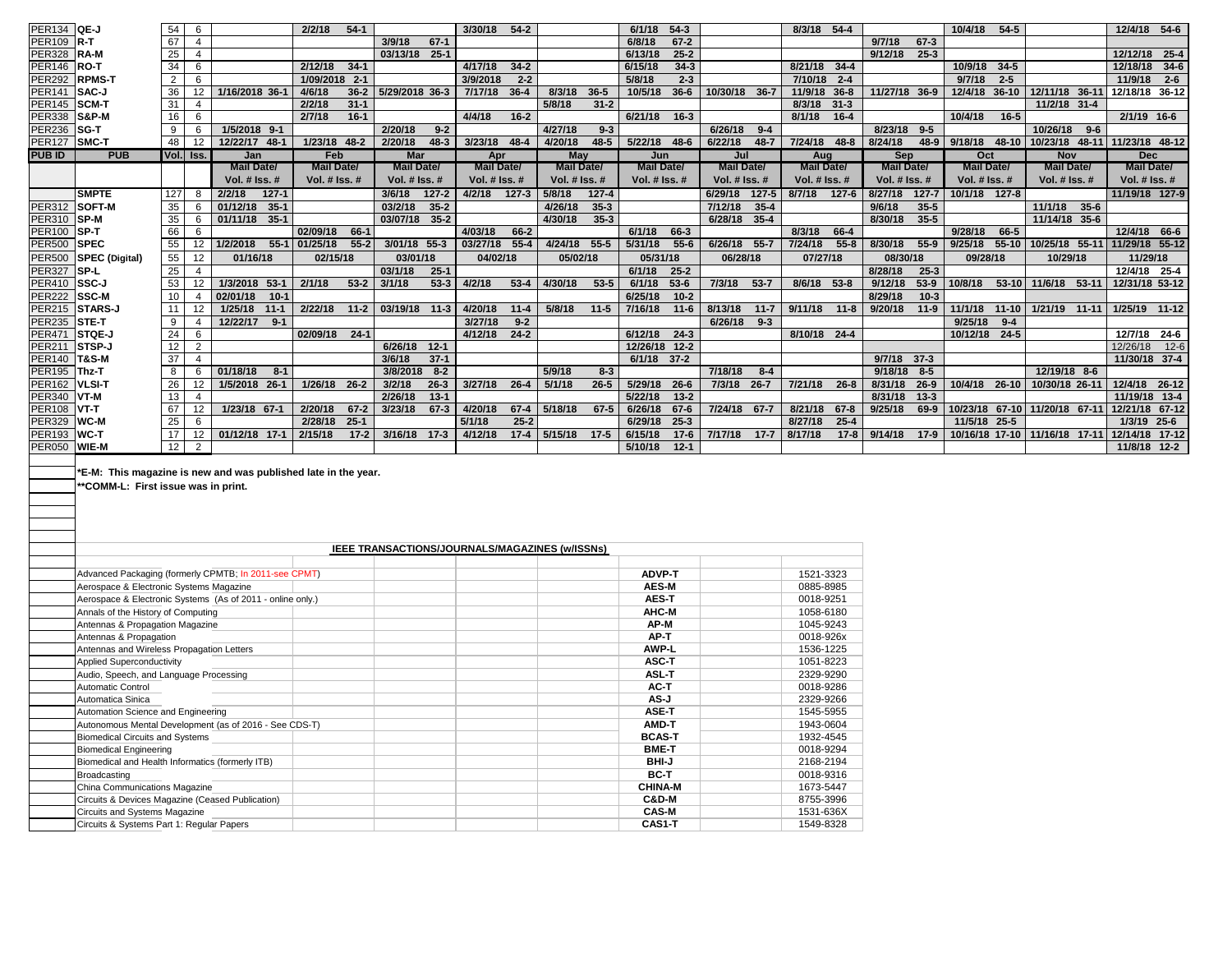| PER134 QE-J   |                  | 54             | 6               |                     | 2/2/18<br>$54-1$     |                      | 3/30/18 54-2         |                            | 6/1/18<br>$54-3$     |                      | 8/3/18 54-4         |                      | 10/4/18<br>$54-5$             |                               | 12/4/18 54-6                        |
|---------------|------------------|----------------|-----------------|---------------------|----------------------|----------------------|----------------------|----------------------------|----------------------|----------------------|---------------------|----------------------|-------------------------------|-------------------------------|-------------------------------------|
| <b>PER109</b> | $R-T$            | 67             | 4               |                     |                      | 3/9/18<br>$67 - 1$   |                      |                            | 6/8/18<br>$67 - 2$   |                      |                     | 9/7/18<br>$67 - 3$   |                               |                               |                                     |
| <b>PER328</b> | <b>RA-M</b>      | 25             | $\overline{4}$  |                     |                      | 03/13/18 25-1        |                      |                            | $25 - 2$<br>6/13/18  |                      |                     | 9/12/18 25-3         |                               |                               | 12/12/18 25-4                       |
| <b>PER146</b> | RO-T             | 34             | 6               |                     | 2/12/18<br>$34 - 1$  |                      | 4/17/18<br>34.2      |                            | $34-3$<br>6/15/18    |                      | 8/21/18<br>$34-4$   |                      | 10/9/18<br>$34-5$             |                               | 12/18/18 34-6                       |
| <b>PER292</b> | <b>RPMS-T</b>    | $\overline{2}$ | 6               |                     | 1/09/2018 2-1        |                      | $2 - 2$<br>3/9/2018  |                            | 5/8/18<br>$2-3$      |                      | $7/10/18$ 2-4       |                      | $2 - 5$<br>9/7/18             |                               | $11/9/18$ 2-6                       |
| <b>PER141</b> | SAC-J            | 36             | 12              | 1/16/2018 36-1      | $36 - 2$<br>4/6/18   | 5/29/2018 36-3       | $36 - 4$<br>7/17/18  | 8/3/18<br>$36 - 5$         | $36 - 6$<br>10/5/18  | 10/30/18 36-7        | $36 - 8$<br>11/9/18 | 11/27/18 36-9        | 12/4/18 36-10                 | 12/11/18 36-11                | 12/18/18 36-12                      |
| <b>PER145</b> | SCM-T            | 31             | 4               |                     | $31 - 1$<br>2/2/18   |                      |                      | $31 - 2$<br>5/8/18         |                      |                      | $31 - 3$<br>8/3/18  |                      |                               | 11/2/18 31-4                  |                                     |
| <b>PER338</b> | <b>S&amp;P-M</b> | 16             | 6               |                     | $16 - 1$<br>2/7/18   |                      | 4/4/18<br>$16 - 2$   |                            | 6/21/18<br>$16 - 3$  |                      | $16 - 4$<br>8/1/18  |                      | 10/4/18<br>$16 - 5$           |                               | 2/1/19 16-6                         |
| <b>PER236</b> | <b>SG-T</b>      | 9              | 6               | 1/5/2018 9-1        |                      | 2/20/18<br>$9 - 2$   |                      | 4/27/18<br>$9-3$           |                      | 6/26/18<br>$9 - 4$   |                     | 8/23/18 9-5          |                               | 10/26/18<br>$9 - 6$           |                                     |
| <b>PER127</b> | <b>SMC-T</b>     | 48             | $12 -$          | 12/22/17 48-1       | 1/23/18 48-2         | $48-3$<br>2/20/18    | $3/23/18$ 48-4       | $48 - 5$<br>4/20/18        | 5/22/18 48-6         | 6/22/18<br>$48 - 7$  | 7/24/18 48-8        | 8/24/18              | 48-9 9/18/18                  |                               | 48-10 10/23/18 48-11 11/23/18 48-12 |
| <b>PUB ID</b> | <b>PUB</b>       |                | Vol. Iss.       | Jan                 | Feb                  | <b>Mar</b>           | Apr                  | May                        | Jun                  | Jul                  | Aug                 | <b>Sep</b>           | Oct                           | <b>Nov</b>                    | <b>Dec</b>                          |
|               |                  |                |                 | <b>Mail Date/</b>   | <b>Mail Date/</b>    | <b>Mail Date/</b>    | <b>Mail Date/</b>    | <b>Mail Date/</b>          | <b>Mail Date/</b>    | <b>Mail Date/</b>    | <b>Mail Date/</b>   | <b>Mail Date/</b>    | <b>Mail Date/</b>             | <b>Mail Date/</b>             | <b>Mail Date/</b>                   |
|               |                  |                |                 | Vol. $#$ Iss. $#$   | Vol. $#$ Iss. $#$    | <b>Vol. # Iss. #</b> | Vol. # Iss. #        | Vol. $#$ Iss. $#$          | <b>Vol. # Iss. #</b> | <b>Vol. # Iss. #</b> | Vol. $#$ Iss. $#$   | <b>Vol. # Iss. #</b> | Vol. # Iss. #                 | <b>Vol. # Iss. #</b>          | Vol. # Iss. #                       |
|               | <b>SMPTE</b>     | 127            | 8               | $127 - 1$<br>2/2/18 |                      | $127 - 2$<br>3/6/18  | 4/2/18<br>$127 - 3$  | 5/8/18<br>$127 - 4$        |                      | 6/29/18<br>$127 - 5$ | $127 - 6$<br>8/7/18 | $127 - 7$<br>8/27/18 | 10/1/18 127-8                 |                               | 11/19/18 127-9                      |
| <b>PER312</b> | <b>SOFT-M</b>    | 35             |                 | 01/12/18 35-1       |                      | $35 - 2$<br>03/2/18  |                      | 4/26/18<br>$35-3$          |                      | $35 - 4$<br>7/12/18  |                     | $35 - 5$<br>9/6/18   |                               | 11/1/18<br>$35 - 6$           |                                     |
| <b>PER310</b> | SP-M             | 35             |                 | 01/11/18 35-1       |                      | $35-2$<br>03/07/18   |                      | $35 - 3$<br>4/30/18        |                      | $35 - 4$<br>6/28/18  |                     | $35 - 5$<br>8/30/18  |                               | 11/14/18 35-6                 |                                     |
| <b>PER100</b> | SP-T             | 66             | 6               |                     | 02/09/18<br>66-1     |                      | 4/03/18<br>66-2      |                            | 6/1/18<br>$66 - 3$   |                      | 66-4<br>8/3/18      |                      | 9/28/18<br>66-5               |                               | 12/4/18 66-6                        |
| <b>PER500</b> | <b>SPEC</b>      | 55             |                 | 1/2/2018<br>$55-1$  | $55 - 2$<br>01/25/18 | 3/01/18 55-3         | $55 - 4$<br>03/27/18 | $55 - 5$<br>4/24/18        | $55 - 6$<br>5/31/18  | 6/26/18<br>$55 - 7$  | $55 - 8$<br>7/24/18 | 8/30/18<br>$55-9$    | 9/25/18<br>$55 - 10$          | 10/25/18 55-11                | 11/29/18 55-12                      |
| <b>PER500</b> | SPEC (Digital)   | 55             | 12              | 01/16/18            | 02/15/18             | 03/01/18             | 04/02/18             | 05/02/18                   | 05/31/18             | 06/28/18             | 07/27/18            | 08/30/18             | 09/28/18                      | 10/29/18                      | 11/29/18                            |
| <b>PER327</b> | <b>SP-L</b>      | 25             |                 |                     |                      | 03/1/18<br>$25 - 1$  |                      |                            | $25 - 2$<br>6/1/18   |                      |                     | $25 - 3$<br>8/28/18  |                               |                               | 12/4/18 25-4                        |
| <b>PER410</b> | SSC-J            | 53             | 12              | 1/3/2018<br>$53-1$  | 2/1/18<br>$53 - 2$   | $53 - 3$<br>3/1/18   | $53 - 4$<br>4/2/18   | 4/30/18<br>$53 - 5$        | $53 - 6$<br>6/1/18   | $53 - 7$<br>7/3/18   | $53 - 8$<br>8/6/18  | 9/12/18<br>$53-9$    | 10/8/18<br>$53 - 10$          | $53 - 11$<br>11/6/18          | 12/31/18 53-12                      |
| <b>PER222</b> | <b>SSC-M</b>     | 10             |                 | $10-1$<br>02/01/18  |                      |                      |                      |                            | $10 - 2$<br>6/25/18  |                      |                     | $10 - 3$<br>8/29/18  |                               |                               |                                     |
| <b>PER215</b> | <b>ISTARS-J</b>  | 11             | 12              | 1/25/18<br>$11 - 1$ | 2/22/18<br>$11 - 2$  | 03/19/18 11-3        | 4/20/18<br>$11 - 4$  | 5/8/18<br>$11 - 5$         | $11 - 6$<br>7/16/18  | 8/13/18<br>$11 - 7$  | $9/11/18$ 11-8      | 9/20/18<br>$11-9$    | 11/1/18<br>$11 - 10$          | 1/21/19 11-11                 | 1/25/19 11-12                       |
| <b>PER235</b> | STE-T            | 9              |                 | $9-1$<br>12/22/17   |                      |                      | 3/27/18<br>$9 - 2$   |                            |                      | 6/26/18<br>$9 - 3$   |                     |                      | 9/25/18<br>$9 - 4$            |                               |                                     |
| <b>PER471</b> | <b>STQE-J</b>    | 24             | 6               |                     | 02/09/18<br>$24 - 1$ |                      | 4/12/18 24-2         |                            | 6/12/18<br>$24-3$    |                      | 8/10/18 24-4        |                      | 10/12/18<br>24-5              |                               | 12/7/18 24-6                        |
| PER21         | <b>STSP-J</b>    | 12             | 2               |                     |                      | $12 - 1$<br>6/26/18  |                      |                            | $12 - 2$<br>12/26/18 |                      |                     |                      |                               |                               | 12/26/18 12-6                       |
| <b>PER140</b> | <b>T&amp;S-M</b> | 37             | $\overline{4}$  |                     |                      | $37 - 1$<br>3/6/18   |                      |                            | 6/1/18 37-2          |                      |                     | 9/7/18 37-3          |                               |                               | 11/30/18 37-4                       |
| <b>PER195</b> | Thz-T            | 8              |                 | 01/18/18<br>$8-1$   |                      | $8 - 2$<br>3/8/2018  |                      | 5/9/18<br>$8-3$            |                      | 7/18/18<br>$8 - 4$   |                     | $8 - 5$<br>9/18/18   |                               | 12/19/18 8-6                  |                                     |
| <b>PER162</b> | VLSI-T           | 26             | 12              | 1/5/2018 26-1       | 1/26/18 26-2         | $26 - 3$<br>3/2/18   | $3/27/18$ 26-4       | 5/1/18<br>$26 - 5$         | 5/29/18<br>$26 - 6$  | $26 - 7$<br>7/3/18   | 7/21/18<br>$26 - 8$ | $26-9$<br>8/31/18    |                               | 10/4/18 26-10 10/30/18 26-11  | 12/4/18 26-12                       |
| <b>PER340</b> | VT-M             | 13             |                 |                     |                      | $13 - 1$<br>2/26/18  |                      |                            | 5/22/18<br>$13 - 2$  |                      |                     | $13-3$<br>8/31/18    |                               |                               | 11/19/18 13-4                       |
| <b>PER108</b> | $VT-T$           | 67             | 12 <sup>2</sup> | 1/23/18 67-1        | 2/20/18<br>$67 - 2$  | $67 - 3$<br>3/23/18  | 4/20/18              | $67-4$ 5/18/18<br>$67 - 5$ | 6/26/18<br>$67 - 6$  | 7/24/18<br>$67 - 7$  | 8/21/18<br>$67 - 8$ | 9/25/18<br>69-9      | 10/23/18 67-10 11/20/18 67-11 |                               | 12/21/18 67-12                      |
| <b>PER329</b> | WC-M             | 25             | 6               |                     | $25 - 1$<br>2/28/18  |                      | 5/1/18<br>$25 - 2$   |                            | 6/29/18<br>$25-3$    |                      | 8/27/18<br>$25 - 4$ |                      | 11/5/18 25-5                  |                               | 1/3/19 25-6                         |
| <b>PER193</b> | WC-T             | 17             | 12 <sup>2</sup> | 01/12/18 17-1       | $17 - 2$<br>2/15/18  | 3/16/18 17-3         | 4/12/18<br>$17-4$    | 5/15/18<br>$17-5$          | 6/15/18<br>$17 - 6$  | $17 - 7$<br>7/17/18  | $17 - 8$<br>8/17/18 | 9/14/18 17-9         |                               | 10/16/18 17-10 11/16/18 17-11 | 12/14/18 17-12                      |
| <b>PER050</b> | <b>WIE-M</b>     | 12             | 2               |                     |                      |                      |                      |                            | $12 - 1$<br>5/10/18  |                      |                     |                      |                               |                               | 11/8/18 12-2                        |
|               |                  |                |                 |                     |                      |                      |                      |                            |                      |                      |                     |                      |                               |                               |                                     |

**\*E-M: This magazine is new and was published late in the year.**

**\*\*COMM-L: First issue was in print.**

|                                                            | IEEE TRANSACTIONS/JOURNALS/MAGAZINES (w/ISSNs) |           |  |  |  |  |  |  |  |
|------------------------------------------------------------|------------------------------------------------|-----------|--|--|--|--|--|--|--|
|                                                            |                                                |           |  |  |  |  |  |  |  |
| Advanced Packaging (formerly CPMTB; In 2011-see CPMT)      | ADVP-T                                         | 1521-3323 |  |  |  |  |  |  |  |
| Aerospace & Electronic Systems Magazine                    | <b>AES-M</b>                                   | 0885-8985 |  |  |  |  |  |  |  |
| Aerospace & Electronic Systems (As of 2011 - online only.) | <b>AES-T</b>                                   | 0018-9251 |  |  |  |  |  |  |  |
| Annals of the History of Computing                         | AHC-M                                          | 1058-6180 |  |  |  |  |  |  |  |
| Antennas & Propagation Magazine                            | AP-M                                           | 1045-9243 |  |  |  |  |  |  |  |
| Antennas & Propagation                                     | AP-T                                           | 0018-926x |  |  |  |  |  |  |  |
| Antennas and Wireless Propagation Letters                  | <b>AWP-L</b>                                   | 1536-1225 |  |  |  |  |  |  |  |
| Applied Superconductivity                                  | ASC-T                                          | 1051-8223 |  |  |  |  |  |  |  |
| Audio, Speech, and Language Processing                     | <b>ASL-T</b>                                   | 2329-9290 |  |  |  |  |  |  |  |
| Automatic Control                                          | AC-T                                           | 0018-9286 |  |  |  |  |  |  |  |
| Automatica Sinica                                          | AS-J                                           | 2329-9266 |  |  |  |  |  |  |  |
| Automation Science and Engineering                         | ASE-T                                          | 1545-5955 |  |  |  |  |  |  |  |
| Autonomous Mental Development (as of 2016 - See CDS-T)     | AMD-T                                          | 1943-0604 |  |  |  |  |  |  |  |
| <b>Biomedical Circuits and Systems</b>                     | <b>BCAS-T</b>                                  | 1932-4545 |  |  |  |  |  |  |  |
| <b>Biomedical Engineering</b>                              | <b>BME-T</b>                                   | 0018-9294 |  |  |  |  |  |  |  |
| Biomedical and Health Informatics (formerly ITB)           | BHI-J                                          | 2168-2194 |  |  |  |  |  |  |  |
| Broadcasting                                               | <b>BC-T</b>                                    | 0018-9316 |  |  |  |  |  |  |  |
| China Communications Magazine                              | <b>CHINA-M</b>                                 | 1673-5447 |  |  |  |  |  |  |  |
| Circuits & Devices Magazine (Ceased Publication)           | C&D-M                                          | 8755-3996 |  |  |  |  |  |  |  |
| Circuits and Systems Magazine                              | <b>CAS-M</b>                                   | 1531-636X |  |  |  |  |  |  |  |
| Circuits & Systems Part 1: Regular Papers                  | CAS1-T                                         | 1549-8328 |  |  |  |  |  |  |  |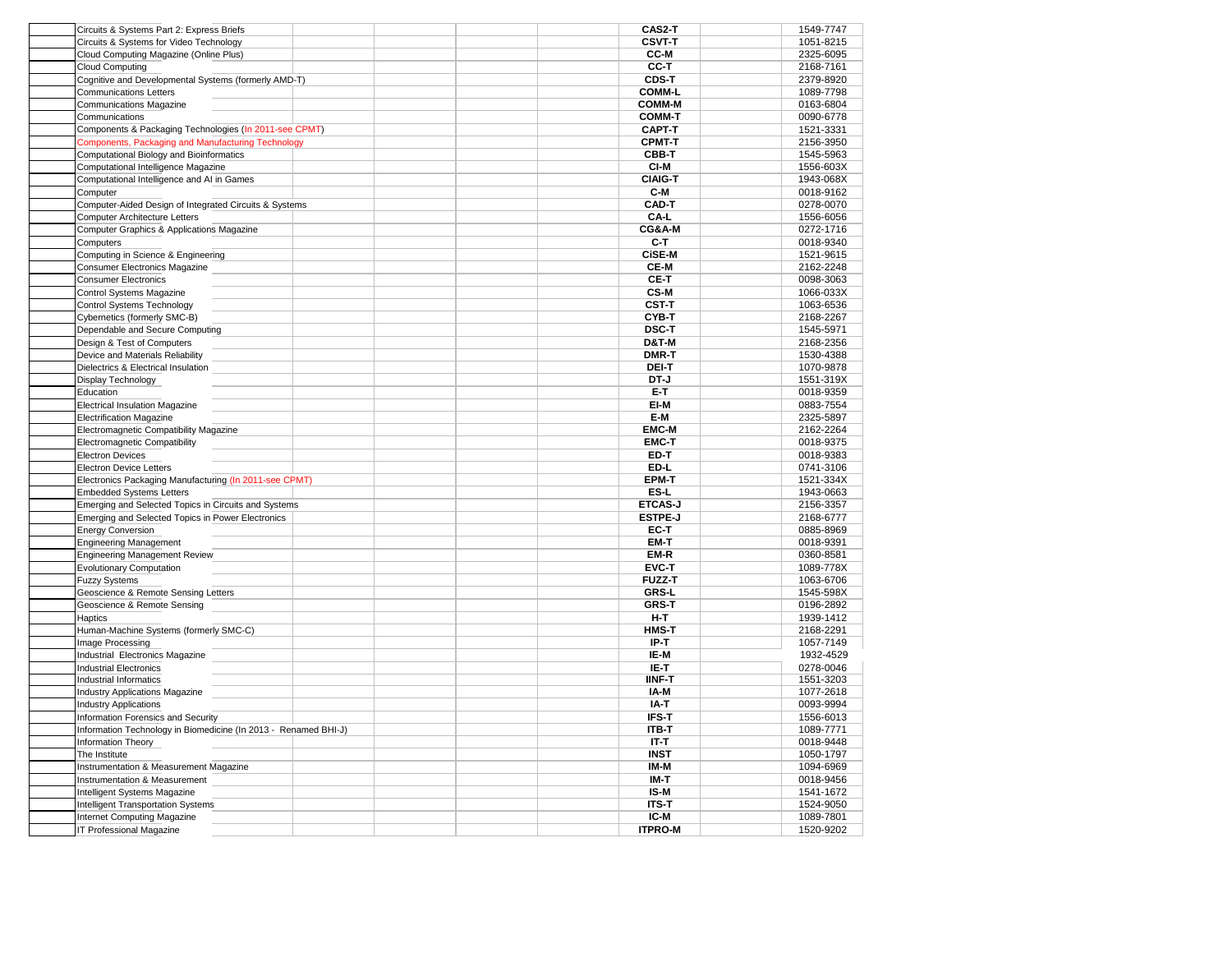| Circuits & Systems Part 2: Express Briefs                       | CAS2-T           | 1549-7747 |
|-----------------------------------------------------------------|------------------|-----------|
| Circuits & Systems for Video Technology                         | <b>CSVT-T</b>    | 1051-8215 |
| Cloud Computing Magazine (Online Plus)                          | CC-M             | 2325-6095 |
| <b>Cloud Computing</b>                                          | CC-T             | 2168-7161 |
| Cognitive and Developmental Systems (formerly AMD-T)            | CDS-T            | 2379-8920 |
| <b>Communications Letters</b>                                   | <b>COMM-L</b>    | 1089-7798 |
| <b>Communications Magazine</b>                                  | <b>COMM-M</b>    | 0163-6804 |
|                                                                 | <b>COMM-T</b>    | 0090-6778 |
| Communications                                                  |                  |           |
| Components & Packaging Technologies (In 2011-see CPMT)          | <b>CAPT-T</b>    | 1521-3331 |
| Components, Packaging and Manufacturing Technology              | <b>CPMT-T</b>    | 2156-3950 |
| Computational Biology and Bioinformatics                        | CBB-T            | 1545-5963 |
| Computational Intelligence Magazine                             | CI-M             | 1556-603X |
| Computational Intelligence and AI in Games                      | <b>CIAIG-T</b>   | 1943-068X |
| Computer                                                        | C-M              | 0018-9162 |
| Computer-Aided Design of Integrated Circuits & Systems          | CAD-T            | 0278-0070 |
| Computer Architecture Letters                                   | CA-L             | 1556-6056 |
| Computer Graphics & Applications Magazine                       | CG&A-M           | 0272-1716 |
| Computers                                                       | C-T              | 0018-9340 |
| Computing in Science & Engineering                              | <b>CiSE-M</b>    | 1521-9615 |
| Consumer Electronics Magazine                                   | CE-M             | 2162-2248 |
|                                                                 |                  |           |
| <b>Consumer Electronics</b>                                     | CE-T             | 0098-3063 |
| <b>Control Systems Magazine</b>                                 | CS-M             | 1066-033X |
| Control Systems Technology                                      | <b>CST-T</b>     | 1063-6536 |
| Cybernetics (formerly SMC-B)                                    | CYB-T            | 2168-2267 |
| Dependable and Secure Computing                                 | <b>DSC-T</b>     | 1545-5971 |
| Design & Test of Computers                                      | <b>D&amp;T-M</b> | 2168-2356 |
| Device and Materials Reliability                                | DMR-T            | 1530-4388 |
| Dielectrics & Electrical Insulation                             | DEI-T            | 1070-9878 |
| Display Technology                                              | DT-J             | 1551-319X |
| Education                                                       | E-T              | 0018-9359 |
|                                                                 | EI-M             | 0883-7554 |
| <b>Electrical Insulation Magazine</b>                           |                  |           |
| <b>Electrification Magazine</b>                                 | E-M              | 2325-5897 |
| Electromagnetic Compatibility Magazine                          | <b>EMC-M</b>     | 2162-2264 |
| Electromagnetic Compatibility                                   | <b>EMC-T</b>     | 0018-9375 |
| <b>Electron Devices</b>                                         | ED-T             | 0018-9383 |
| <b>Electron Device Letters</b>                                  | ED-L             | 0741-3106 |
| Electronics Packaging Manufacturing (In 2011-see CPMT)          | <b>EPM-T</b>     | 1521-334X |
| <b>Embedded Systems Letters</b>                                 | ES-L             | 1943-0663 |
| Emerging and Selected Topics in Circuits and Systems            | <b>ETCAS-J</b>   | 2156-3357 |
| Emerging and Selected Topics in Power Electronics               | <b>ESTPE-J</b>   | 2168-6777 |
| <b>Energy Conversion</b>                                        | EC-T             | 0885-8969 |
| <b>Engineering Management</b>                                   | EM-T             | 0018-9391 |
| <b>Engineering Management Review</b>                            | EM-R             | 0360-8581 |
|                                                                 |                  |           |
| <b>Evolutionary Computation</b>                                 | EVC-T            | 1089-778X |
| <b>Fuzzy Systems</b>                                            | <b>FUZZ-T</b>    | 1063-6706 |
| Geoscience & Remote Sensing Letters                             | <b>GRS-L</b>     | 1545-598X |
| Geoscience & Remote Sensing                                     | <b>GRS-T</b>     | 0196-2892 |
| Haptics                                                         | H-T              | 1939-1412 |
| Human-Machine Systems (formerly SMC-C)                          | <b>HMS-T</b>     | 2168-2291 |
| Image Processing                                                | IP-T             | 1057-7149 |
| Industrial Electronics Magazine                                 | IE-M             | 1932-4529 |
| <b>Industrial Electronics</b>                                   | IE-T             | 0278-0046 |
| Industrial Informatics                                          | <b>IINF-T</b>    | 1551-3203 |
| Industry Applications Magazine                                  | IA-M             | 1077-2618 |
| <b>Industry Applications</b>                                    | IA-T             | 0093-9994 |
|                                                                 | IFS-T            |           |
| Information Forensics and Security                              |                  | 1556-6013 |
| Information Technology in Biomedicine (In 2013 - Renamed BHI-J) | ITB-T            | 1089-7771 |
| Information Theory                                              | <b>IT-T</b>      | 0018-9448 |
| The Institute                                                   | <b>INST</b>      | 1050-1797 |
| Instrumentation & Measurement Magazine                          | IM-M             | 1094-6969 |
| Instrumentation & Measurement                                   | IM-T             | 0018-9456 |
| Intelligent Systems Magazine                                    | IS-M             | 1541-1672 |
| <b>Intelligent Transportation Systems</b>                       | <b>ITS-T</b>     | 1524-9050 |
| <b>Internet Computing Magazine</b>                              | IC-M             | 1089-7801 |
| IT Professional Magazine                                        | <b>ITPRO-M</b>   | 1520-9202 |
|                                                                 |                  |           |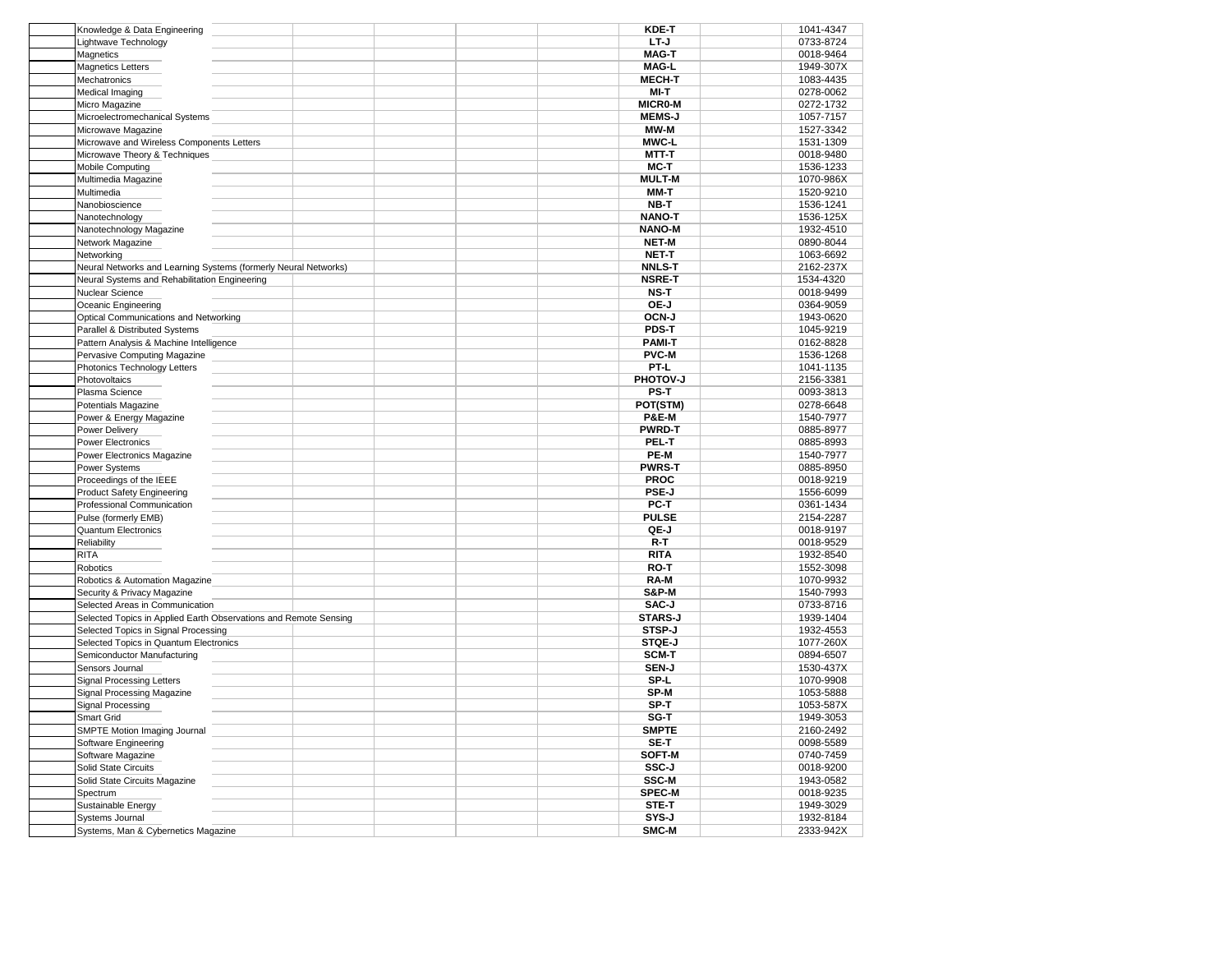| Knowledge & Data Engineering                                     | <b>KDE-T</b>     | 1041-4347 |
|------------------------------------------------------------------|------------------|-----------|
| Lightwave Technology                                             | LT-J             | 0733-8724 |
| Magnetics                                                        | <b>MAG-T</b>     | 0018-9464 |
| <b>Magnetics Letters</b>                                         | <b>MAG-L</b>     | 1949-307X |
| Mechatronics                                                     | <b>MECH-T</b>    | 1083-4435 |
| Medical Imaging                                                  | MI-T             | 0278-0062 |
| Micro Magazine                                                   | <b>MICRO-M</b>   | 0272-1732 |
| Microelectromechanical Systems                                   | <b>MEMS-J</b>    | 1057-7157 |
|                                                                  | MW-M             | 1527-3342 |
| Microwave Magazine                                               |                  |           |
| Microwave and Wireless Components Letters                        | <b>MWC-L</b>     | 1531-1309 |
| Microwave Theory & Techniques                                    | MTT-T            | 0018-9480 |
| Mobile Computing                                                 | MC-T             | 1536-1233 |
| Multimedia Magazine                                              | <b>MULT-M</b>    | 1070-986X |
| Multimedia                                                       | MM-T             | 1520-9210 |
| Nanobioscience                                                   | NB-T             | 1536-1241 |
| Nanotechnology                                                   | <b>NANO-T</b>    | 1536-125X |
| Nanotechnology Magazine                                          | <b>NANO-M</b>    | 1932-4510 |
| Network Magazine                                                 | <b>NET-M</b>     | 0890-8044 |
| Networking                                                       | <b>NET-T</b>     | 1063-6692 |
| Neural Networks and Learning Systems (formerly Neural Networks)  | <b>NNLS-T</b>    | 2162-237X |
|                                                                  |                  |           |
| Neural Systems and Rehabilitation Engineering                    | <b>NSRE-T</b>    | 1534-4320 |
| Nuclear Science                                                  | NS-T             | 0018-9499 |
| Oceanic Engineering                                              | OE-J             | 0364-9059 |
| Optical Communications and Networking                            | OCN-J            | 1943-0620 |
| Parallel & Distributed Systems                                   | PDS-T            | 1045-9219 |
| Pattern Analysis & Machine Intelligence                          | <b>PAMI-T</b>    | 0162-8828 |
| Pervasive Computing Magazine                                     | <b>PVC-M</b>     | 1536-1268 |
| Photonics Technology Letters                                     | PT-L             | 1041-1135 |
| Photovoltaics                                                    | PHOTOV-J         | 2156-3381 |
| Plasma Science                                                   | PS-T             | 0093-3813 |
| Potentials Magazine                                              | POT(STM)         | 0278-6648 |
| Power & Energy Magazine                                          | <b>P&amp;E-M</b> | 1540-7977 |
|                                                                  |                  |           |
| Power Delivery                                                   | <b>PWRD-T</b>    | 0885-8977 |
| Power Electronics                                                | PEL-T            | 0885-8993 |
| Power Electronics Magazine                                       | PE-M             | 1540-7977 |
| Power Systems                                                    | <b>PWRS-T</b>    | 0885-8950 |
| Proceedings of the IEEE                                          | <b>PROC</b>      | 0018-9219 |
| Product Safety Engineering                                       | PSE-J            | 1556-6099 |
| Professional Communication                                       | PC-T             | 0361-1434 |
| Pulse (formerly EMB)                                             | <b>PULSE</b>     | 2154-2287 |
| Quantum Electronics                                              | QE-J             | 0018-9197 |
| Reliability                                                      | $R - T$          | 0018-9529 |
| <b>RITA</b>                                                      | <b>RITA</b>      | 1932-8540 |
|                                                                  | RO-T             |           |
| Robotics                                                         |                  | 1552-3098 |
| Robotics & Automation Magazine                                   | RA-M             | 1070-9932 |
| Security & Privacy Magazine                                      | <b>S&amp;P-M</b> | 1540-7993 |
| Selected Areas in Communication                                  | SAC-J            | 0733-8716 |
| Selected Topics in Applied Earth Observations and Remote Sensing | <b>STARS-J</b>   | 1939-1404 |
| Selected Topics in Signal Processing                             | STSP-J           | 1932-4553 |
| Selected Topics in Quantum Electronics                           | STQF-J           | 1077-260X |
| Semiconductor Manufacturing                                      | SCM-T            | 0894-6507 |
| Sensors Journal                                                  | SEN-J            | 1530-437X |
| <b>Signal Processing Letters</b>                                 | SP-L             | 1070-9908 |
| Signal Processing Magazine                                       | SP-M             | 1053-5888 |
| Signal Processing                                                | SP-T             | 1053-587X |
|                                                                  |                  |           |
| Smart Grid                                                       | SG-T             | 1949-3053 |
| SMPTE Motion Imaging Journal                                     | <b>SMPTE</b>     | 2160-2492 |
| Software Engineering                                             | SE-T             | 0098-5589 |
| Software Magazine                                                | SOFT-M           | 0740-7459 |
| Solid State Circuits                                             | SSC-J            | 0018-9200 |
| Solid State Circuits Magazine                                    | SSC-M            | 1943-0582 |
| Spectrum                                                         | <b>SPEC-M</b>    | 0018-9235 |
| Sustainable Energy                                               | STE-T            | 1949-3029 |
| Systems Journal                                                  | SYS-J            | 1932-8184 |
| Systems, Man & Cybernetics Magazine                              | SMC-M            | 2333-942X |
|                                                                  |                  |           |